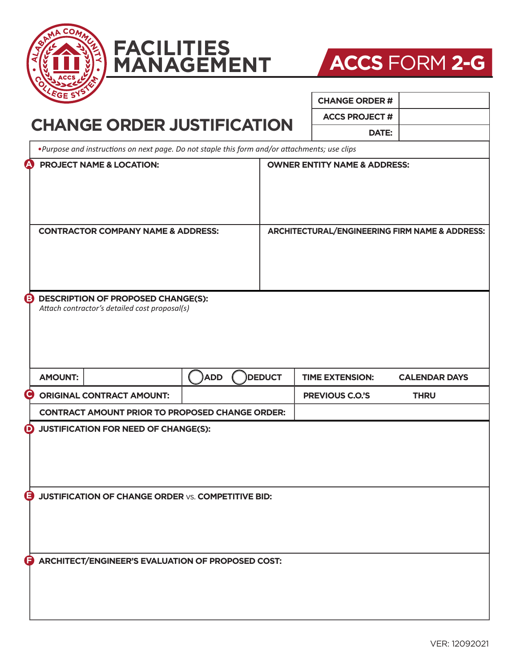





| <b>EGE SY</b>                                                                                  |            |                                                | <b>CHANGE ORDER#</b>   |                      |
|------------------------------------------------------------------------------------------------|------------|------------------------------------------------|------------------------|----------------------|
| <b>CHANGE ORDER JUSTIFICATION</b>                                                              |            |                                                | <b>ACCS PROJECT #</b>  |                      |
|                                                                                                |            |                                                | DATE:                  |                      |
| . Purpose and instructions on next page. Do not staple this form and/or attachments; use clips |            |                                                |                        |                      |
| <b>PROJECT NAME &amp; LOCATION:</b>                                                            |            | <b>OWNER ENTITY NAME &amp; ADDRESS:</b>        |                        |                      |
| <b>CONTRACTOR COMPANY NAME &amp; ADDRESS:</b>                                                  |            | ARCHITECTURAL/ENGINEERING FIRM NAME & ADDRESS: |                        |                      |
| <b>DESCRIPTION OF PROPOSED CHANGE(S):</b><br>Attach contractor's detailed cost proposal(s)     |            |                                                |                        |                      |
| <b>AMOUNT:</b>                                                                                 | <b>ADD</b> | <b>DEDUCT</b>                                  | <b>TIME EXTENSION:</b> | <b>CALENDAR DAYS</b> |
| <b>ORIGINAL CONTRACT AMOUNT:</b>                                                               |            |                                                | <b>PREVIOUS C.O.'S</b> | <b>THRU</b>          |
| <b>CONTRACT AMOUNT PRIOR TO PROPOSED CHANGE ORDER:</b>                                         |            |                                                |                        |                      |
| JUSTIFICATION FOR NEED OF CHANGE(S):                                                           |            |                                                |                        |                      |
| Θ<br><b>JUSTIFICATION OF CHANGE ORDER VS. COMPETITIVE BID:</b>                                 |            |                                                |                        |                      |
| ARCHITECT/ENGINEER'S EVALUATION OF PROPOSED COST:<br>G                                         |            |                                                |                        |                      |